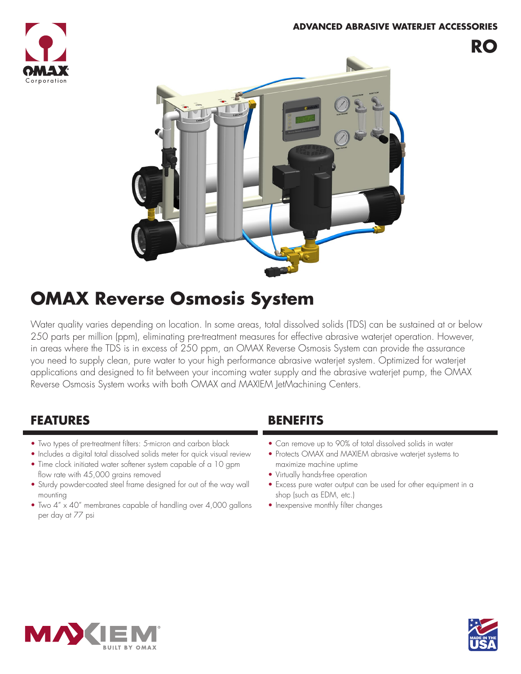#### **ADVANCED ABRASIVE WATERJET ACCESSORIES**





# **OMAX Reverse Osmosis System**

Water quality varies depending on location. In some areas, total dissolved solids (TDS) can be sustained at or below 250 parts per million (ppm), eliminating pre-treatment measures for effective abrasive waterjet operation. However, in areas where the TDS is in excess of 250 ppm, an OMAX Reverse Osmosis System can provide the assurance you need to supply clean, pure water to your high performance abrasive waterjet system. Optimized for waterjet applications and designed to fit between your incoming water supply and the abrasive waterjet pump, the OMAX Reverse Osmosis System works with both OMAX and MAXIEM JetMachining Centers.

## **FEATURES BENEFITS**

- Two types of pre-treatment filters: 5-micron and carbon black
- Includes a digital total dissolved solids meter for quick visual review
- Time clock initiated water softener system capable of a 10 gpm flow rate with 45,000 grains removed
- Sturdy powder-coated steel frame designed for out of the way wall mounting
- Two 4" x 40" membranes capable of handling over 4,000 gallons per day at 77 psi

- Can remove up to 90% of total dissolved solids in water
- Protects OMAX and MAXIEM abrasive waterjet systems to maximize machine uptime
- Virtually hands-free operation
- Excess pure water output can be used for other equipment in a shop (such as EDM, etc.)
- Inexpensive monthly filter changes